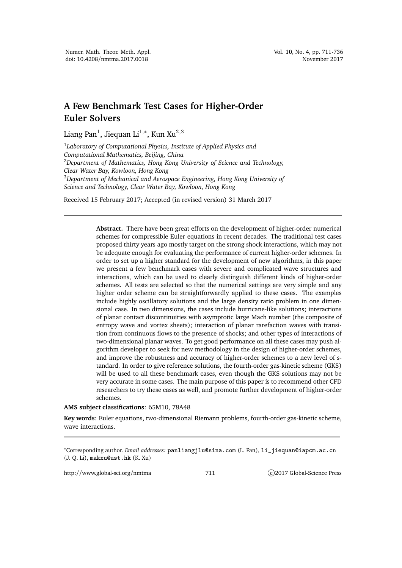## **A Few Benchmark Test Cases for Higher-Order Euler Solvers**

Liang Pan $^1$ , Jiequan Li $^{1,\ast}$ , Kun Xu $^{2,3}$ 

1 *Laboratory of Computational Physics, Institute of Applied Physics and Computational Mathematics, Beijing, China* <sup>2</sup>*Department of Mathematics, Hong Kong University of Science and Technology, Clear Water Bay, Kowloon, Hong Kong* <sup>3</sup>*Department of Mechanical and Aerospace Engineering, Hong Kong University of Science and Technology, Clear Water Bay, Kowloon, Hong Kong*

Received 15 February 2017; Accepted (in revised version) 31 March 2017

**Abstract.** There have been great efforts on the development of higher-order numerical schemes for compressible Euler equations in recent decades. The traditional test cases proposed thirty years ago mostly target on the strong shock interactions, which may not be adequate enough for evaluating the performance of current higher-order schemes. In order to set up a higher standard for the development of new algorithms, in this paper we present a few benchmark cases with severe and complicated wave structures and interactions, which can be used to clearly distinguish different kinds of higher-order schemes. All tests are selected so that the numerical settings are very simple and any higher order scheme can be straightforwardly applied to these cases. The examples include highly oscillatory solutions and the large density ratio problem in one dimensional case. In two dimensions, the cases include hurricane-like solutions; interactions of planar contact discontinuities with asymptotic large Mach number (the composite of entropy wave and vortex sheets); interaction of planar rarefaction waves with transition from continuous flows to the presence of shocks; and other types of interactions of two-dimensional planar waves. To get good performance on all these cases may push algorithm developer to seek for new methodology in the design of higher-order schemes, and improve the robustness and accuracy of higher-order schemes to a new level of standard. In order to give reference solutions, the fourth-order gas-kinetic scheme (GKS) will be used to all these benchmark cases, even though the GKS solutions may not be very accurate in some cases. The main purpose of this paper is to recommend other CFD researchers to try these cases as well, and promote further development of higher-order schemes.

## **AMS subject classifications**: 65M10, 78A48

**Key words**: Euler equations, two-dimensional Riemann problems, fourth-order gas-kinetic scheme, wave interactions.

<sup>∗</sup>Corresponding author. *Email addresses:* panliangjlu@sina.com (L. Pan), li\_jiequan@iapcm.ac.cn (J. Q. Li), makxu@ust.hk (K. Xu)

http://www.global-sci.org/nmtma 711 c 2017 Global-Science Press